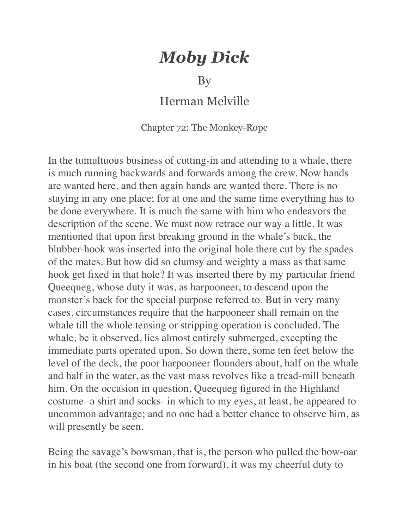## *Moby Dick*

By

## Herman Melville

## Chapter 72: The Monkey-Rope

In the tumultuous business of cutting-in and attending to a whale, there is much running backwards and forwards among the crew. Now hands are wanted here, and then again hands are wanted there. There is no staying in any one place; for at one and the same time everything has to be done everywhere. It is much the same with him who endeavors the description of the scene. We must now retrace our way a little. It was mentioned that upon first breaking ground in the whale's back, the blubber-hook was inserted into the original hole there cut by the spades of the mates. But how did so clumsy and weighty a mass as that same hook get fixed in that hole? It was inserted there by my particular friend Queequeg, whose duty it was, as harpooneer, to descend upon the monster's back for the special purpose referred to. But in very many cases, circumstances require that the harpooneer shall remain on the whale till the whole tensing or stripping operation is concluded. The whale, be it observed, lies almost entirely submerged, excepting the immediate parts operated upon. So down there, some ten feet below the level of the deck, the poor harpooneer flounders about, half on the whale and half in the water, as the vast mass revolves like a tread-mill beneath him. On the occasion in question, Queequeg figured in the Highland costume- a shirt and socks- in which to my eyes, at least, he appeared to uncommon advantage; and no one had a better chance to observe him, as will presently be seen.

Being the savage's bowsman, that is, the person who pulled the bow-oar in his boat (the second one from forward), it was my cheerful duty to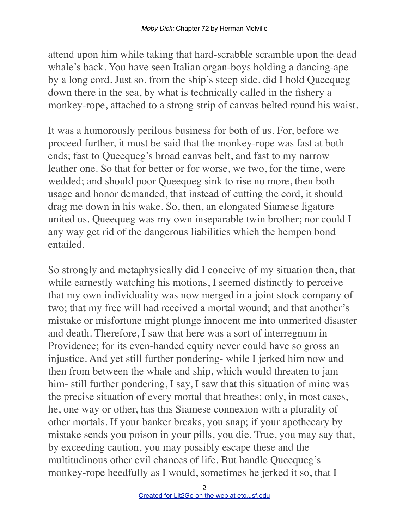attend upon him while taking that hard-scrabble scramble upon the dead whale's back. You have seen Italian organ-boys holding a dancing-ape by a long cord. Just so, from the ship's steep side, did I hold Queequeg down there in the sea, by what is technically called in the fishery a monkey-rope, attached to a strong strip of canvas belted round his waist.

It was a humorously perilous business for both of us. For, before we proceed further, it must be said that the monkey-rope was fast at both ends; fast to Queequeg's broad canvas belt, and fast to my narrow leather one. So that for better or for worse, we two, for the time, were wedded; and should poor Queequeg sink to rise no more, then both usage and honor demanded, that instead of cutting the cord, it should drag me down in his wake. So, then, an elongated Siamese ligature united us. Queequeg was my own inseparable twin brother; nor could I any way get rid of the dangerous liabilities which the hempen bond entailed.

So strongly and metaphysically did I conceive of my situation then, that while earnestly watching his motions, I seemed distinctly to perceive that my own individuality was now merged in a joint stock company of two; that my free will had received a mortal wound; and that another's mistake or misfortune might plunge innocent me into unmerited disaster and death. Therefore, I saw that here was a sort of interregnum in Providence; for its even-handed equity never could have so gross an injustice. And yet still further pondering- while I jerked him now and then from between the whale and ship, which would threaten to jam him- still further pondering, I say, I saw that this situation of mine was the precise situation of every mortal that breathes; only, in most cases, he, one way or other, has this Siamese connexion with a plurality of other mortals. If your banker breaks, you snap; if your apothecary by mistake sends you poison in your pills, you die. True, you may say that, by exceeding caution, you may possibly escape these and the multitudinous other evil chances of life. But handle Queequeg's monkey-rope heedfully as I would, sometimes he jerked it so, that I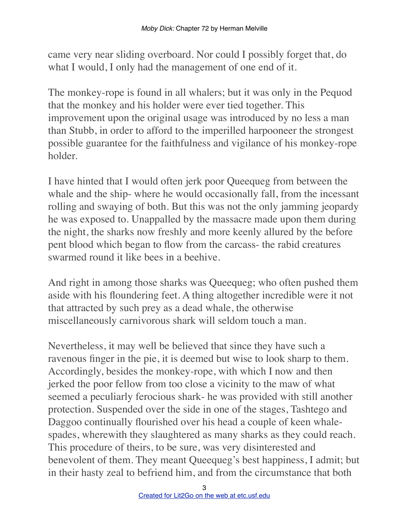came very near sliding overboard. Nor could I possibly forget that, do what I would, I only had the management of one end of it.

The monkey-rope is found in all whalers; but it was only in the Pequod that the monkey and his holder were ever tied together. This improvement upon the original usage was introduced by no less a man than Stubb, in order to afford to the imperilled harpooneer the strongest possible guarantee for the faithfulness and vigilance of his monkey-rope holder.

I have hinted that I would often jerk poor Queequeg from between the whale and the ship- where he would occasionally fall, from the incessant rolling and swaying of both. But this was not the only jamming jeopardy he was exposed to. Unappalled by the massacre made upon them during the night, the sharks now freshly and more keenly allured by the before pent blood which began to flow from the carcass- the rabid creatures swarmed round it like bees in a beehive.

And right in among those sharks was Queequeg; who often pushed them aside with his floundering feet. A thing altogether incredible were it not that attracted by such prey as a dead whale, the otherwise miscellaneously carnivorous shark will seldom touch a man.

Nevertheless, it may well be believed that since they have such a ravenous finger in the pie, it is deemed but wise to look sharp to them. Accordingly, besides the monkey-rope, with which I now and then jerked the poor fellow from too close a vicinity to the maw of what seemed a peculiarly ferocious shark- he was provided with still another protection. Suspended over the side in one of the stages, Tashtego and Daggoo continually flourished over his head a couple of keen whalespades, wherewith they slaughtered as many sharks as they could reach. This procedure of theirs, to be sure, was very disinterested and benevolent of them. They meant Queequeg's best happiness, I admit; but in their hasty zeal to befriend him, and from the circumstance that both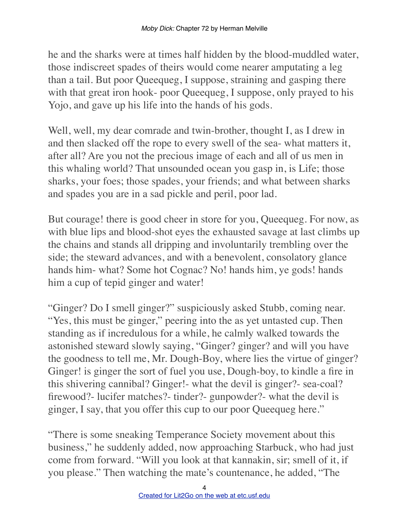he and the sharks were at times half hidden by the blood-muddled water, those indiscreet spades of theirs would come nearer amputating a leg than a tail. But poor Queequeg, I suppose, straining and gasping there with that great iron hook- poor Queequeg, I suppose, only prayed to his Yojo, and gave up his life into the hands of his gods.

Well, well, my dear comrade and twin-brother, thought I, as I drew in and then slacked off the rope to every swell of the sea- what matters it, after all? Are you not the precious image of each and all of us men in this whaling world? That unsounded ocean you gasp in, is Life; those sharks, your foes; those spades, your friends; and what between sharks and spades you are in a sad pickle and peril, poor lad.

But courage! there is good cheer in store for you, Queequeg. For now, as with blue lips and blood-shot eyes the exhausted savage at last climbs up the chains and stands all dripping and involuntarily trembling over the side; the steward advances, and with a benevolent, consolatory glance hands him- what? Some hot Cognac? No! hands him, ye gods! hands him a cup of tepid ginger and water!

"Ginger? Do I smell ginger?" suspiciously asked Stubb, coming near. "Yes, this must be ginger," peering into the as yet untasted cup. Then standing as if incredulous for a while, he calmly walked towards the astonished steward slowly saying, "Ginger? ginger? and will you have the goodness to tell me, Mr. Dough-Boy, where lies the virtue of ginger? Ginger! is ginger the sort of fuel you use, Dough-boy, to kindle a fire in this shivering cannibal? Ginger!- what the devil is ginger?- sea-coal? firewood?- lucifer matches?- tinder?- gunpowder?- what the devil is ginger, I say, that you offer this cup to our poor Queequeg here."

"There is some sneaking Temperance Society movement about this business," he suddenly added, now approaching Starbuck, who had just come from forward. "Will you look at that kannakin, sir; smell of it, if you please." Then watching the mate's countenance, he added, "The